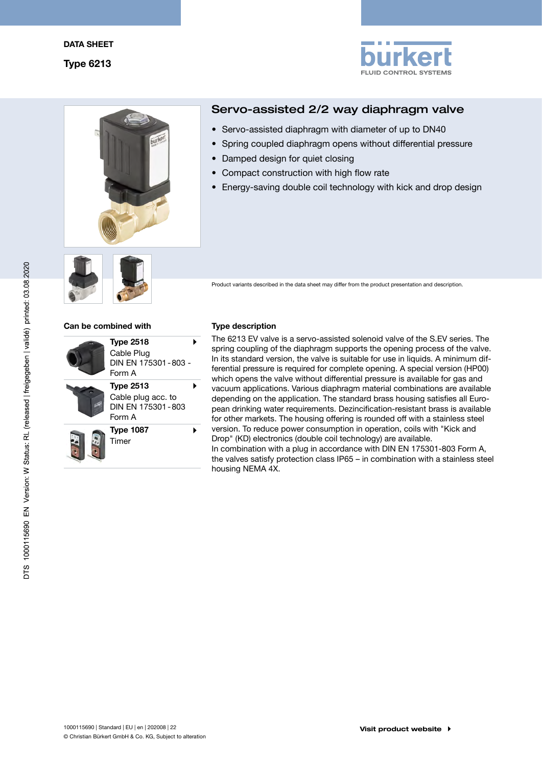



# Servo-assisted 2/2 way diaphragm valve

- Servo-assisted diaphragm with diameter of up to DN40
- • Spring coupled diaphragm opens without differential pressure
- Damped design for quiet closing
- Compact construction with high flow rate
- Energy-saving double coil technology with kick and drop design



Product variants described in the data sheet may differ from the product presentation and description.

#### Can be combined with Type description

| <b>Type 2518</b><br>Cable Plug<br>DIN FN 175301-803-<br>Form A        |  |
|-----------------------------------------------------------------------|--|
| <b>Type 2513</b><br>Cable plug acc. to<br>DIN FN 175301-803<br>Form A |  |
| <b>Type 1087</b><br>Timer                                             |  |

The 6213 EV valve is a servo-assisted solenoid valve of the S.EV series. The spring coupling of the diaphragm supports the opening process of the valve. In its standard version, the valve is suitable for use in liquids. A minimum differential pressure is required for complete opening. A special version (HP00) which opens the valve without differential pressure is available for gas and vacuum applications. Various diaphragm material combinations are available depending on the application. The standard brass housing satisfies all European drinking water requirements. Dezincification-resistant brass is available for other markets. The housing offering is rounded off with a stainless steel version. To reduce power consumption in operation, coils with "Kick and Drop" (KD) electronics (double coil technology) are available. In combination with a plug in accordance with DIN EN 175301-803 Form A, the valves satisfy protection class IP65 – in combination with a stainless steel housing NEMA 4X.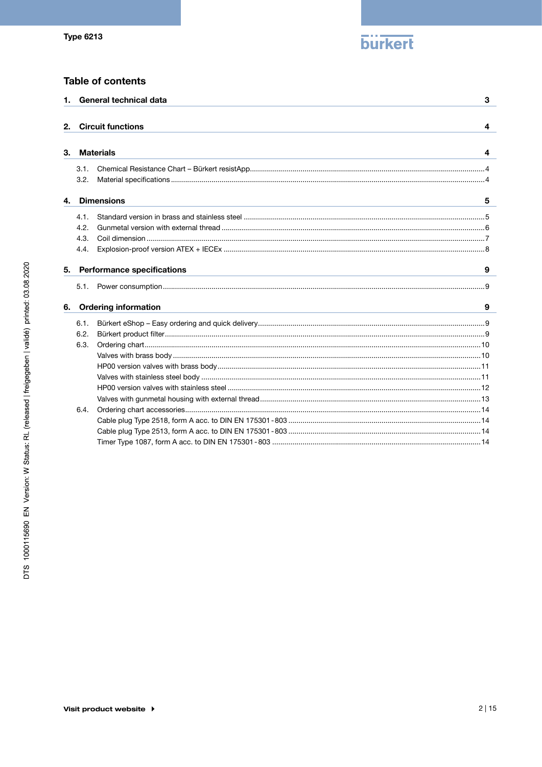

# **Table of contents**

|    |      | 1. General technical data         | 3 |
|----|------|-----------------------------------|---|
| 2. |      | <b>Circuit functions</b>          | 4 |
|    |      |                                   |   |
| З. |      | <b>Materials</b>                  | 4 |
|    | 3.1. |                                   |   |
|    | 3.2. |                                   |   |
| 4. |      | <b>Dimensions</b>                 | 5 |
|    | 4.1. |                                   |   |
|    | 4.2. |                                   |   |
|    | 4.3. |                                   |   |
|    | 4.4. |                                   |   |
| 5. |      | <b>Performance specifications</b> | 9 |
|    | 5.1. |                                   |   |
|    |      |                                   |   |
| 6. |      | <b>Ordering information</b>       | 9 |
|    | 6.1. |                                   |   |
|    | 6.2. |                                   |   |
|    | 6.3. |                                   |   |
|    |      |                                   |   |
|    |      |                                   |   |
|    |      |                                   |   |
|    |      |                                   |   |
|    |      |                                   |   |
|    | 6.4. |                                   |   |
|    |      |                                   |   |
|    |      |                                   |   |
|    |      |                                   |   |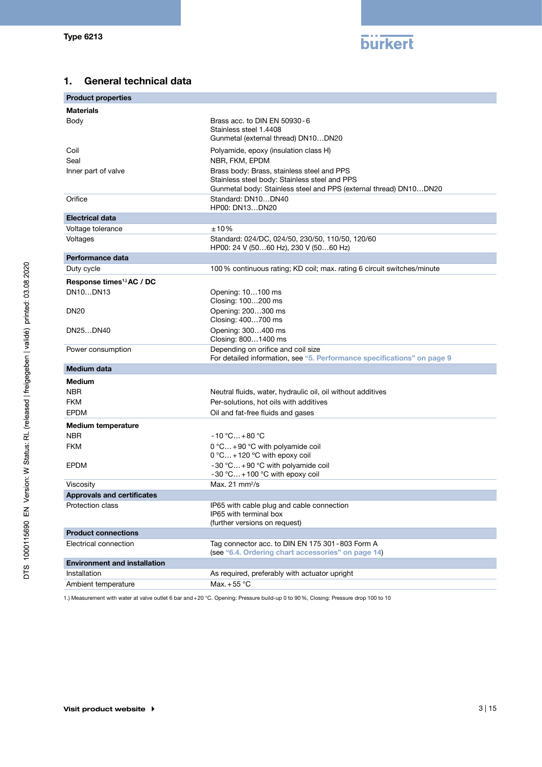

# 1. General technical data

| <b>Product properties</b>             |                                                                                                                                                                  |
|---------------------------------------|------------------------------------------------------------------------------------------------------------------------------------------------------------------|
| <b>Materials</b>                      |                                                                                                                                                                  |
| Body                                  | Brass acc. to DIN EN 50930-6<br>Stainless steel 1.4408<br>Gunmetal (external thread) DN10DN20                                                                    |
| Coil                                  | Polyamide, epoxy (insulation class H)                                                                                                                            |
| Seal                                  | NBR, FKM, EPDM                                                                                                                                                   |
| Inner part of valve                   | Brass body: Brass, stainless steel and PPS<br>Stainless steel body: Stainless steel and PPS<br>Gunmetal body: Stainless steel and PPS (external thread) DN10DN20 |
| Orifice                               | Standard: DN10DN40<br>HP00: DN13DN20                                                                                                                             |
| <b>Electrical data</b>                |                                                                                                                                                                  |
| Voltage tolerance                     | ±10%                                                                                                                                                             |
| Voltages                              | Standard: 024/DC, 024/50, 230/50, 110/50, 120/60<br>HP00: 24 V (5060 Hz), 230 V (5060 Hz)                                                                        |
| Performance data                      |                                                                                                                                                                  |
| Duty cycle                            | 100 % continuous rating; KD coil; max. rating 6 circuit switches/minute                                                                                          |
| Response times <sup>1.)</sup> AC / DC |                                                                                                                                                                  |
| DN10DN13                              | Opening: 10100 ms<br>Closing: 100200 ms                                                                                                                          |
| <b>DN20</b>                           | Opening: 200300 ms<br>Closing: 400700 ms                                                                                                                         |
| DN25DN40                              | Opening: 300400 ms<br>Closing: 8001400 ms                                                                                                                        |
| Power consumption                     | Depending on orifice and coil size<br>For detailed information, see "5. Performance specifications" on page 9                                                    |
| <b>Medium data</b>                    |                                                                                                                                                                  |
| <b>Medium</b>                         |                                                                                                                                                                  |
| <b>NBR</b>                            | Neutral fluids, water, hydraulic oil, oil without additives                                                                                                      |
| <b>FKM</b>                            | Per-solutions, hot oils with additives                                                                                                                           |
| <b>EPDM</b>                           | Oil and fat-free fluids and gases                                                                                                                                |
| <b>Medium temperature</b>             |                                                                                                                                                                  |
| <b>NBR</b>                            | $-10 °C+80 °C$                                                                                                                                                   |
| <b>FKM</b>                            | 0 °C +90 °C with polyamide coil<br>$0^{\circ}$ C + 120 °C with epoxy coil                                                                                        |
| <b>EPDM</b>                           | -30 °C +90 °C with polyamide coil<br>-30 °C +100 °C with epoxy coil                                                                                              |
| Viscosity                             | Max. 21 mm <sup>2</sup> /s                                                                                                                                       |
| <b>Approvals and certificates</b>     |                                                                                                                                                                  |
| Protection class                      | IP65 with cable plug and cable connection<br>IP65 with terminal box<br>(further versions on request)                                                             |
| <b>Product connections</b>            |                                                                                                                                                                  |
| Electrical connection                 | Tag connector acc. to DIN EN 175 301 - 803 Form A<br>(see "6.4. Ordering chart accessories" on page 14)                                                          |
| <b>Environment and installation</b>   |                                                                                                                                                                  |
| Installation                          | As required, preferably with actuator upright                                                                                                                    |
| Ambient temperature                   | Max. $+55^{\circ}$ C                                                                                                                                             |

1.) Measurement with water at valve outlet 6 bar and+20 °C. Opening: Pressure build-up 0 to 90%, Closing: Pressure drop 100 to 10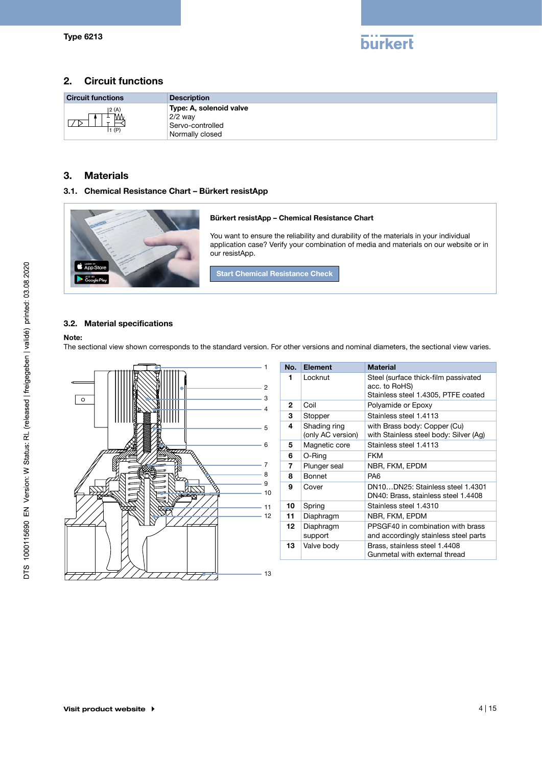

# 2. Circuit functions

| <b>Circuit functions</b> | <b>Description</b>                                                          |
|--------------------------|-----------------------------------------------------------------------------|
| 2(A) <br>IVVV<br>1(P)    | Type: A, solenoid valve<br>$2/2$ way<br>Servo-controlled<br>Normally closed |

# 3. Materials

### 3.1. Chemical Resistance Chart – Bürkert resistApp



#### 3.2. Material specifications

#### Note:

The sectional view shown corresponds to the standard version. For other versions and nominal diameters, the sectional view varies.



| No.          | <b>Element</b>                    | <b>Material</b>                                                                              |
|--------------|-----------------------------------|----------------------------------------------------------------------------------------------|
| 1            | Locknut                           | Steel (surface thick-film passivated<br>acc. to RoHS)<br>Stainless steel 1.4305, PTFE coated |
| $\mathbf{2}$ | Coil                              | Polyamide or Epoxy                                                                           |
| 3            | Stopper                           | Stainless steel 1.4113                                                                       |
| 4            | Shading ring<br>(only AC version) | with Brass body: Copper (Cu)<br>with Stainless steel body: Silver (Ag)                       |
| 5            | Magnetic core                     | Stainless steel 1.4113                                                                       |
| 6            | O-Ring                            | <b>FKM</b>                                                                                   |
| 7            | Plunger seal                      | NBR, FKM, EPDM                                                                               |
| 8            | Bonnet                            | PA6                                                                                          |
| 9            | Cover                             | DN10DN25: Stainless steel 1.4301<br>DN40: Brass, stainless steel 1.4408                      |
| 10           | Spring                            | Stainless steel 1.4310                                                                       |
| 11           | Diaphragm                         | NBR, FKM, EPDM                                                                               |
| 12           | Diaphragm<br>support              | PPSGF40 in combination with brass<br>and accordingly stainless steel parts                   |
| 13           | Valve body                        | Brass, stainless steel 1.4408<br>Gunmetal with external thread                               |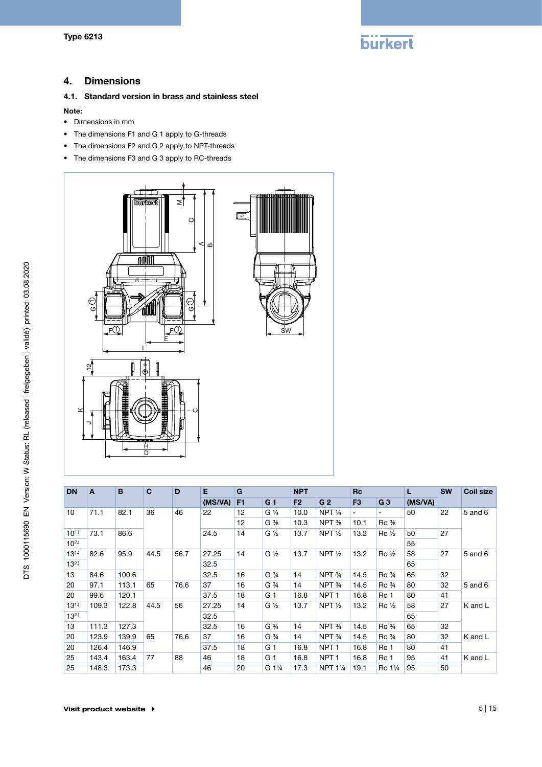

# 4. Dimensions

#### 4.1. Standard version in brass and stainless steel

#### Note:

- • Dimensions in mm
- • The dimensions F1 and G 1 apply to G-threads
- • The dimensions F2 and G 2 apply to NPT-threads
- • The dimensions F3 and G 3 apply to RC-threads



| <b>DN</b>  | C<br>B<br>A |       |            | D    | E       | G              |                               | <b>NPT</b>     |                   | <b>Rc</b>      |                                | L       | <b>SW</b> | <b>Coil size</b> |  |    |  |
|------------|-------------|-------|------------|------|---------|----------------|-------------------------------|----------------|-------------------|----------------|--------------------------------|---------|-----------|------------------|--|----|--|
|            |             |       |            |      | (MS/VA) | F <sub>1</sub> | G <sub>1</sub>                | F <sub>2</sub> | G <sub>2</sub>    | F <sub>3</sub> | G <sub>3</sub>                 | (MS/VA) |           |                  |  |    |  |
| 10         | 71.1        | 82.1  | 36         | 46   | 22      | 12             | G 1/4                         | 10.0           | NPT <sub>14</sub> |                |                                | 50      | 22        | 5 and 6          |  |    |  |
|            |             |       |            |      |         | 12             | $G \frac{3}{8}$               | 10.3           | NPT %             | 10.1           | $Rc \frac{3}{8}$               |         |           |                  |  |    |  |
| $10^{1.1}$ | 73.1        | 86.6  |            |      | 24.5    | 14             | $G\frac{1}{2}$                | 13.7           | NPT $\frac{1}{2}$ | 13.2           | $Rc \frac{1}{2}$               | 50      | 27        |                  |  |    |  |
| $10^{2.1}$ |             |       |            |      |         |                |                               |                |                   |                |                                | 55      |           |                  |  |    |  |
| $13^{1.1}$ | 82.6        | 95.9  | 44.5       | 56.7 | 27.25   | 14             | $G\frac{1}{2}$                | 13.7           | NPT $\frac{1}{2}$ | 13.2           | $Rc\frac{1}{2}$                | 58      | 27        | 5 and 6          |  |    |  |
| $13^{2.1}$ |             |       |            |      |         |                |                               |                | 32.5              |                |                                |         |           |                  |  | 65 |  |
| 13         | 84.6        | 100.6 |            |      | 32.5    | 16             | G <sup>3</sup> / <sub>4</sub> | 14             | NPT 3/4           | 14.5           | Rc <sup>3</sup>                | 65      | 32        |                  |  |    |  |
| 20         | 97.1        | 113.1 | 76.6<br>65 |      | 37      | 16             | G <sup>3</sup> / <sub>4</sub> | 14             | NPT <sub>34</sub> | 14.5           | Rc <sup>3</sup> / <sub>4</sub> | 80      | 32        | 5 and 6          |  |    |  |
| 20         | 99.6        | 120.1 |            |      | 37.5    | 18             | G <sub>1</sub>                | 16.8           | NPT <sub>1</sub>  | 16.8           | Rc <sub>1</sub>                | 80      | 41        |                  |  |    |  |
| $13^{1.1}$ | 109.3       | 122.8 | 44.5       | 56   | 27.25   | 14             | $G\frac{1}{2}$                | 13.7           | NPT $\frac{1}{2}$ | 13.2           | $Rc\frac{1}{2}$                | 58      | 27        | K and L          |  |    |  |
| $13^{2.1}$ |             |       |            |      | 32.5    |                |                               |                |                   |                |                                | 65      |           |                  |  |    |  |
| 13         | 111.3       | 127.3 |            |      | 32.5    | 16             | G <sup>3</sup> / <sub>4</sub> | 14             | NPT 3/4           | 14.5           | Rc <sup>3</sup> / <sub>4</sub> | 65      | 32        |                  |  |    |  |
| 20         | 123.9       | 139.9 | 65         | 76.6 | 37      | 16             | G <sup>3</sup> / <sub>4</sub> | 14             | NPT <sub>34</sub> | 14.5           | Rc <sup>3</sup> / <sub>4</sub> | 80      | 32        | K and L          |  |    |  |
| 20         | 126.4       | 146.9 |            |      | 37.5    | 18             | G <sub>1</sub>                | 16.8           | NPT <sub>1</sub>  | 16.8           | Rc 1                           | 80      | 41        |                  |  |    |  |
| 25         | 143.4       | 163.4 | 77         | 88   | 46      | 18             | G <sub>1</sub>                | 16.8           | NPT <sub>1</sub>  | 16.8           | Rc 1                           | 95      | 41        | K and L          |  |    |  |
| 25         | 148.3       | 173.3 |            |      |         | 20             | G 11/4                        | 17.3           | <b>NPT 11/4</b>   | 19.1           | Rc 11/4                        | 95      | 50        |                  |  |    |  |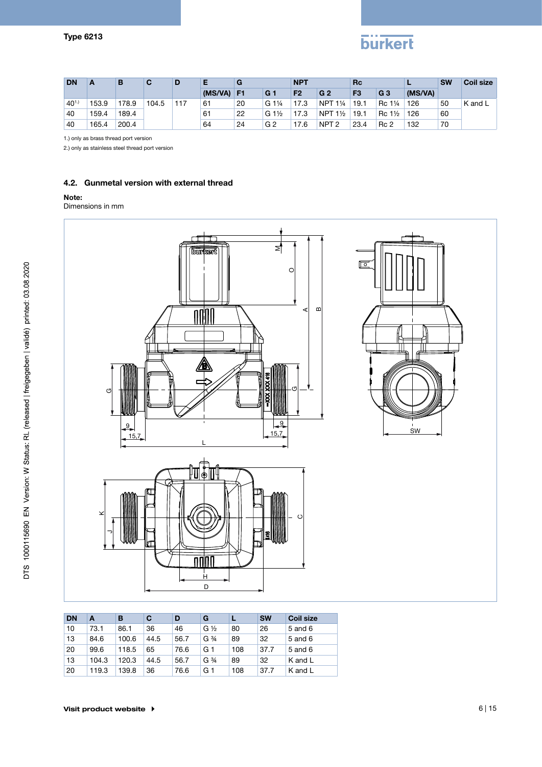# **burkert**

| <b>DN</b>  | A     | в     | C     | D   |         | G              |                                 | <b>NPT</b>     |                              | <b>Rc</b>      |                                  |         | <b>SW</b> | <b>Coil size</b> |
|------------|-------|-------|-------|-----|---------|----------------|---------------------------------|----------------|------------------------------|----------------|----------------------------------|---------|-----------|------------------|
|            |       |       |       |     | (MS/VA) | F <sub>1</sub> | G <sub>1</sub>                  | F <sub>2</sub> | G <sub>2</sub>               | F <sub>3</sub> | G <sub>3</sub>                   | (MS/VA) |           |                  |
| $40^{1.1}$ | 153.9 | 178.9 | 104.5 | 117 | 61      | 20             | G 1 <sup>1</sup> / <sub>4</sub> | 17.3           | <b>NPT</b><br>$1\frac{1}{4}$ | 19.1           | Rc 1 <sup>1</sup> / <sub>4</sub> | 126     | 50        | K and L          |
| 40         | 159.4 | 189.4 |       |     | 61      | 22             | $G_1\frac{1}{2}$                | 17.3           | NPT $1\frac{1}{2}$           | 19.1           | $1\frac{1}{2}$<br>$\mathsf{Rc}$  | 126     | 60        |                  |
| 40         | 165.4 | 200.4 |       |     | 64      | 24             | G <sub>2</sub>                  | 17.6           | NPT <sub>2</sub>             | 23.4           | Rc <sub>2</sub>                  | 132     | 70        |                  |

1.) only as brass thread port version

2.) only as stainless steel thread port version

### 4.2. Gunmetal version with external thread

#### Note:

Dimensions in mm



| <b>DN</b> | A     | в     | C    | D    | G                             |     | <b>SW</b> | <b>Coil size</b> |
|-----------|-------|-------|------|------|-------------------------------|-----|-----------|------------------|
| 10        | 73.1  | 86.1  | 36   | 46   | $G\frac{1}{2}$                | 80  | 26        | 5 and 6          |
| 13        | 84.6  | 100.6 | 44.5 | 56.7 | G <sup>3</sup> / <sub>4</sub> | 89  | 32        | 5 and 6          |
| 20        | 99.6  | 118.5 | 65   | 76.6 | G 1                           | 108 | 37.7      | 5 and 6          |
| 13        | 104.3 | 120.3 | 44.5 | 56.7 | G <sup>3</sup> / <sub>4</sub> | 89  | 32        | K and L          |
| 20        | 119.3 | 139.8 | 36   | 76.6 | G 1                           | 108 | 37.7      | K and L          |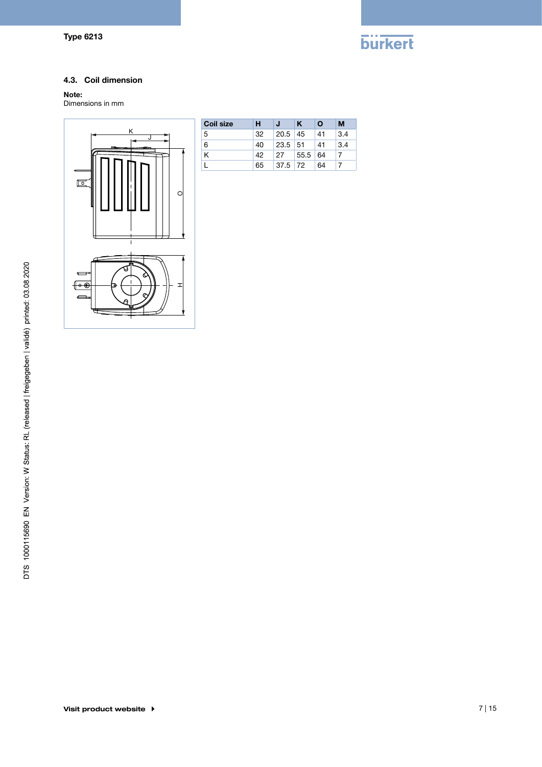

### 4.3. Coil dimension

# Note:

Dimensions in mm



| <b>Coil size</b> | н  |           | ĸ         | Ο  | м   |
|------------------|----|-----------|-----------|----|-----|
| -5               | 32 | 20.5      | 45        | 41 | 3.4 |
| 6                | 40 | 23.5      | 51        | 41 | 3.4 |
| Κ                | 42 | 27        | $55.5$ 64 |    |     |
|                  | 65 | $37.5$ 72 |           | 64 |     |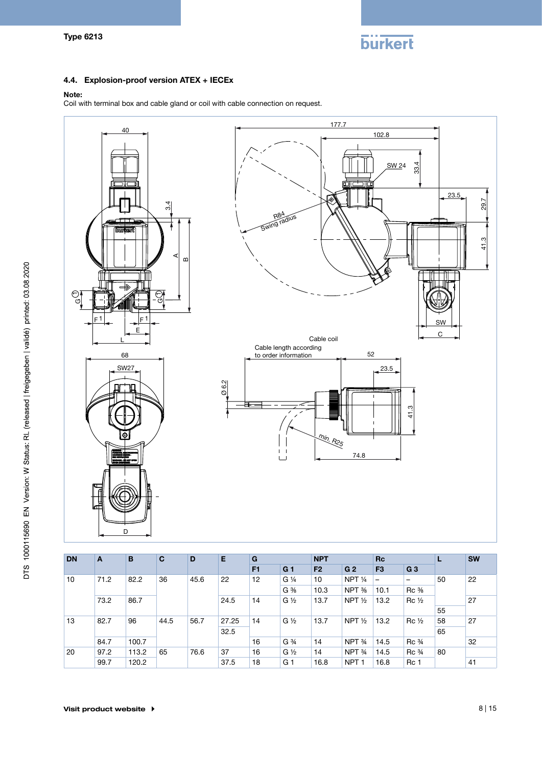

### 4.4. Explosion-proof version ATEX + IECEx

#### Note:

Coil with terminal box and cable gland or coil with cable connection on request.



| <b>DN</b> | A          | B     | $\mathbf{C}$ | D    | E     | G              |                               | <b>NPT</b> |                   | <b>Rc</b>      |                                |         | <b>SW</b> |                         |    |  |
|-----------|------------|-------|--------------|------|-------|----------------|-------------------------------|------------|-------------------|----------------|--------------------------------|---------|-----------|-------------------------|----|--|
|           |            |       |              |      |       | F <sub>1</sub> | G <sub>1</sub>                | F2         | G <sub>2</sub>    | F <sub>3</sub> | G <sub>3</sub>                 |         |           |                         |    |  |
| 10        | 71.2       | 82.2  | 36           | 45.6 | 22    | 12             | $G\frac{1}{4}$                | 10         | NPT $\frac{1}{4}$ | -              | $\qquad \qquad$                | 50      | 22        |                         |    |  |
|           |            |       |              |      |       |                | $G \frac{3}{8}$               | 10.3       | NPT %             | 10.1           | $Rc \frac{3}{8}$               |         |           |                         |    |  |
|           | 73.2       | 86.7  |              |      | 24.5  | 14             | $G\frac{1}{2}$                | 13.7       | NPT $\frac{1}{2}$ | 13.2           | $Rc\frac{1}{2}$                |         | 27        |                         |    |  |
|           |            |       |              |      |       |                |                               |            |                   |                |                                | 55      |           |                         |    |  |
| 13        | 96<br>82.7 |       | 44.5         | 56.7 | 27.25 | 14             | $G\frac{1}{2}$                | 13.7       | NPT $\frac{1}{2}$ | 13.2           | $\operatorname{Rc}\frac{1}{2}$ | 58      | 27        |                         |    |  |
|           |            |       |              |      | 32.5  |                |                               |            |                   |                |                                | 65      |           |                         |    |  |
|           | 84.7       | 100.7 |              |      |       | 16             | G <sup>3</sup> / <sub>4</sub> | 14         | NPT <sub>34</sub> | 14.5           | Rc <sup>3</sup>                |         | 32        |                         |    |  |
| 20        | 97.2       | 113.2 |              |      |       | 65             | 76.6                          | 37         | 16                | $G\frac{1}{2}$ | 14                             | NPT 3/4 | 14.5      | $\text{Rc} \frac{3}{4}$ | 80 |  |
|           | 99.7       | 120.2 |              |      | 37.5  | 18             | G 1                           | 16.8       | NPT <sub>1</sub>  | 16.8           | Rc 1                           |         | 41        |                         |    |  |